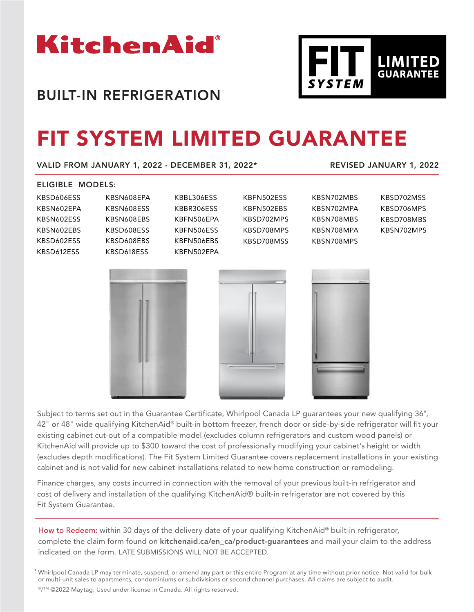

# BUILT-IN REFRIGERATION

# FIT SYSTEM LIMITED GUARANTEE

VALID FROM JANUARY 1, 2022 - DECEMBER 31, 2022\*

REVISED JANUARY 1, 2022

### ELIGIBLE MODELS:

| KBSD606ESS | KBSN |
|------------|------|
| KBSN602EPA | KBSN |
| KBSN602ESS | KBSN |
| KBSN602EBS | KBSD |
| KBSD602ESS | KBSD |
| KBSD612ESS | KBSD |
|            |      |

**N608EPA N608ESS N608FBS** D608ESS D608EBS D618ESS KBBL306ESS KBBR306ESS KBFN506EPA KBFN506ESS KBFN506EBS KBFN502EPA

KBFN502ESS KBFN502EBS KBSD702MPS KBSD708MPS KBSD708MSS

| KBSN702MBS | КF |
|------------|----|
| KBSN702MPA | КF |
| KBSN708MBS | КF |
| KBSN708MPA | КF |
| KBSN708MPS |    |



**LIMITED**<br>GUARANTEE

| ٠<br> |   |  |
|-------|---|--|
|       | n |  |
|       |   |  |
|       |   |  |
|       |   |  |
|       |   |  |





Subject to terms set out in the Guarantee Certificate, Whirlpool Canada LP guarantees your new qualifying 36", 42" or 48" wide qualifying KitchenAid® built-in bottom freezer, french door or side-by-side refrigerator will fit your existing cabinet cut-out of a compatible model (excludes column refrigerators and custom wood panels) or KitchenAid will provide up to \$300 toward the cost of professionally modifying your cabinet's height or width (excludes depth modifications). The Fit System Limited Guarantee covers replacement installations in your existing cabinet and is not valid for new cabinet installations related to new home construction or remodeling.

Finance charges, any costs incurred in connection with the removal of your previous built-in refrigerator and cost of delivery and installation of the qualifying KitchenAid® built-in refrigerator are not covered by this Fit System Guarantee.

How to Redeem: within 30 days of the delivery date of your qualifying KitchenAid® built-in refrigerator, complete the claim form found on kitchenaid.ca/en\_ca/product-guarantees and mail your claim to the address indicated on the form. LATE SUBMISSIONS WILL NOT BE ACCEPTED.

\* Whirlpool Canada LP may terminate, suspend, or amend any part or this entire Program at any time without prior notice. Not valid for bulk or multi-unit sales to apartments, condominiums or subdivisions or second channel purchases. All claims are subject to audit. ®/™ ©2022 Maytag. Used under license in Canada. All rights reserved.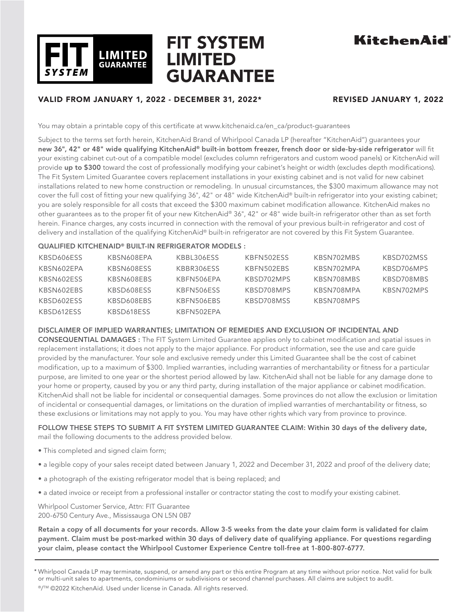

# FIT SYSTEM LIMITED GUARANTEE

# KitchenAid

# VALID FROM JANUARY 1, 2022 - DECEMBER 31, 2022\* REVISED JANUARY 1, 2022

You may obtain a printable copy of this certificate at www.kitchenaid.ca/en\_ca/product-guarantees

Subject to the terms set forth herein, KitchenAid Brand of Whirlpool Canada LP (hereafter "KitchenAid") guarantees your new 36", 42" or 48" wide qualifying KitchenAid® built-in bottom freezer, french door or side-by-side refrigerator will fit your existing cabinet cut-out of a compatible model (excludes column refrigerators and custom wood panels) or KitchenAid will provide up to \$300 toward the cost of professionally modifying your cabinet's height or width (excludes depth modifications). The Fit System Limited Guarantee covers replacement installations in your existing cabinet and is not valid for new cabinet installations related to new home construction or remodeling. In unusual circumstances, the \$300 maximum allowance may not cover the full cost of fitting your new qualifying 36", 42" or 48" wide KitchenAid® built-in refrigerator into your existing cabinet; you are solely responsible for all costs that exceed the \$300 maximum cabinet modification allowance. KitchenAid makes no other guarantees as to the proper fit of your new KitchenAid® 36", 42" or 48" wide built-in refrigerator other than as set forth herein. Finance charges, any costs incurred in connection with the removal of your previous built-in refrigerator and cost of delivery and installation of the qualifying KitchenAid® built-in refrigerator are not covered by this Fit System Guarantee.

### QUALIFIED KITCHENAID® BUILT-IN REFRIGERATOR MODELS :

| KBSD606ESS | KBSN608EPA | KBBL306ESS | KBFN502ESS | KBSN702MBS | KBSD702MSS |
|------------|------------|------------|------------|------------|------------|
| KBSN602EPA | KBSN608ESS | KBBR306ESS | KBFN502EBS | KBSN702MPA | KBSD706MPS |
| KBSN602ESS | KBSN608EBS | KBFN506FPA | KBSD702MPS | KBSN708MBS | KBSD708MBS |
| KBSN602EBS | KBSD608ESS | KBFN506FSS | KBSD708MPS | KBSN708MPA | KBSN702MPS |
| KBSD602ESS | KBSD608EBS | KBFN506EBS | KBSD708MSS | KBSN708MPS |            |
| KBSD612ESS | KBSD618ESS | KBFN502EPA |            |            |            |

### DISCLAIMER OF IMPLIED WARRANTIES; LIMITATION OF REMEDIES AND EXCLUSION OF INCIDENTAL AND

CONSEQUENTIAL DAMAGES : The FIT System Limited Guarantee applies only to cabinet modification and spatial issues in replacement installations; it does not apply to the major appliance. For product information, see the use and care guide provided by the manufacturer. Your sole and exclusive remedy under this Limited Guarantee shall be the cost of cabinet modification, up to a maximum of \$300. Implied warranties, including warranties of merchantability or fitness for a particular purpose, are limited to one year or the shortest period allowed by law. KitchenAid shall not be liable for any damage done to your home or property, caused by you or any third party, during installation of the major appliance or cabinet modification. KitchenAid shall not be liable for incidental or consequential damages. Some provinces do not allow the exclusion or limitation of incidental or consequential damages, or limitations on the duration of implied warranties of merchantability or fitness, so these exclusions or limitations may not apply to you. You may have other rights which vary from province to province.

### FOLLOW THESE STEPS TO SUBMIT A FIT SYSTEM LIMITED GUARANTEE CLAIM: Within 30 days of the delivery date, mail the following documents to the address provided below.

- This completed and signed claim form;
- a legible copy of your sales receipt dated between January 1, 2022 and December 31, 2022 and proof of the delivery date;
- a photograph of the existing refrigerator model that is being replaced; and
- a dated invoice or receipt from a professional installer or contractor stating the cost to modify your existing cabinet.

Whirlpool Customer Service, Attn: FIT Guarantee 200-6750 Century Ave., Mississauga ON L5N 0B7

Retain a copy of all documents for your records. Allow 3-5 weeks from the date your claim form is validated for claim payment. Claim must be post-marked within 30 days of delivery date of qualifying appliance. For questions regarding your claim, please contact the Whirlpool Customer Experience Centre toll-free at 1-800-807-6777.

\* Whirlpool Canada LP may terminate, suspend, or amend any part or this entire Program at any time without prior notice. Not valid for bulk or multi-unit sales to apartments, condominiums or subdivisions or second channel purchases. All claims are subject to audit. ®/™ ©2022 KitchenAid. Used under license in Canada. All rights reserved.